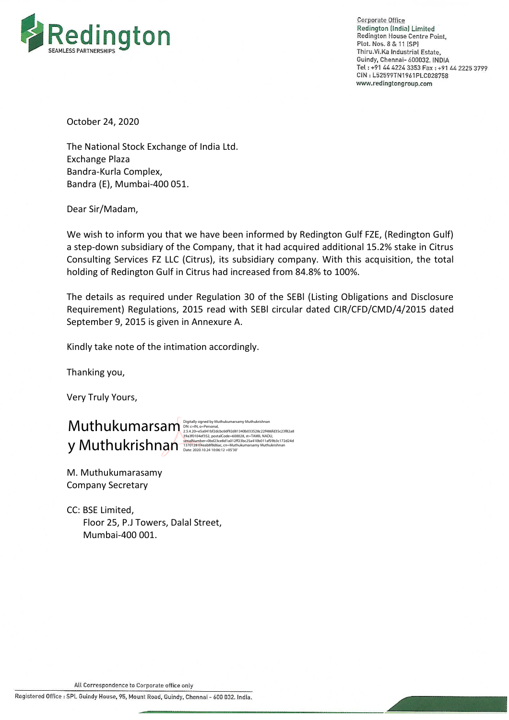

**Corporate Office** Redington (India) Limited Redington House Centre Point, Plot. Nos. 8 & 11 (SP) Thiru. Vi. Ka Industrial Estate, Guindy, Chennai- 600032. INDIA Tel: +91 44 4224 3353 Fax: +91 44 2225 3799 CIN: L52599TN1961PLC028758 www.redingtongroup.com

October 24, 2020

The National Stock Exchange of India Ltd. Exchange Plaza Bandra-Kurla Complex, Bandra (E), Mumbai-400 051.

Dear Sir/Madam,

We wish to inform you that we have been informed by Redington Gulf FZE, (Redington Gulf) a step-down subsidiary of the Company, that it had acquired additional 15.2% stake in Citrus Consulting Services FZ LLC (Citrus), its subsidiary company. With this acquisition, the total holding of Redington Gulf in Citrus had increased from 84.8% to 100%.

The details as required under Regulation 30 of the SEBl (Listing Obligations and Disclosure Requirement) Regulations, 2015 read with SEBl circular dated CIR/CFD/CMD/4/2015 dated September 9, 2015 is given in Annexure A.

Kindly take note of the intimation accordingly.

Thanking you,

Very Truly Yours,

## $\mathsf{Muthukimian}\hspace{-0.2mm} \big(\mathrm{Muthukumarsamy Muthukishnan}\hspace{-0.2mm}\big)$   $\mathsf{Muthukimansum}\hspace{-0.2mm} \big(\mathrm{Muthukishnan}\hspace{-0.2mm}\big)$   $\mathsf{2.4.20}$   $\mathsf{2.5.4.20}$   $\mathsf{2.5.4.20}$   $\mathsf{2.5.4.20}$   $\mathsf{2.5.4.20}$   $\mathsf{2.5.4.20}$   $\mathsf{2.5.4.20}$   $\mathsf{2.5.4.20}$   $\mathsf$  $y$  Muthukrishnan  $s$  absolution  $s$  absolution ber=0bd23ce8d1a012ff23bc25a410b011af59b3c172d24d<br>Date: 2020.10.24 10:06:12 +05'30'

M. Muthukumarasamy Company Secretary

CC: BSE Limited, Floor 25, P.J Towers, Dalal Street, Mumbai-400 001.

All Correspondence to Corporate office only

Registered Office : SPL Guindy House, 95, Mount Road, Guindy, Chennai - 600 032. India.